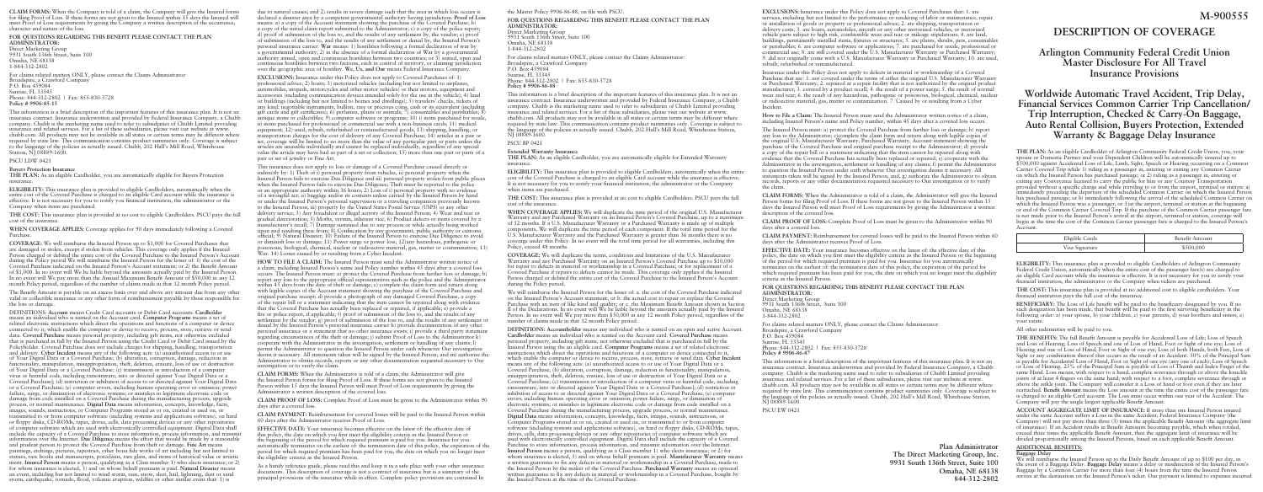due to natural causes; and 2) results in severe damage such that the area in which loss occurs is declared a disaster area by a competent governmental authority having jurisdiction. **Proof of Loss** means: a) a copy of the Account statement showing the purchase of the Covered Purchase; b) a copy of the initial claim report submitted to the Administrator; c) a copy of the police report; d) proof of submission of the loss to, and the results of any settlement by, the vendor; e) proof of submission of the loss to, and the results of any settlement or denial by, the Insured Person's personal insurance carrier. **War** means: 1) hostilities following a formal declaration of war by a governmental authority; 2) in the absence of a formal declaration of War by a governmental authority armed, open and continuous hostilities between two countries; or 3) armed, open and continuous hostilities between two factions, each in control of territory, or claiming jurisdiction over the geographic area of hostility. **We, Us, and Our** means Federal Insurance Company.

This insurance does not apply to loss or damage of a Covered Purchase caused directly or indirectly by: 1) Theft of i) personal property from vehicles, ii) personal property when the Insured Person fails to exercise Due Diligence and iii) personal property stolen from public places when the Insured Person fails to exercise Due Diligence; Theft must be reported to the police or an appropriate authority within 36 hours; 2) Loss of i) personal property with no evidence of a wrongful act; ii) baggage and/or its contents unless carried by the Insured Person by hand or under the Insured Person's personal supervision or a traveling companion previously known to the Insured Person; iii) property by the United States Postal Service (USPS) or any other delivery service; 3) Any fraudulent or illegal activity of the Insured Person; 4) Wear and tear or gradual deterioration; 5) Moths, vermin, inherent vice; 6) Product defects or items covered by a manufacturer's recall; 7) Damage sustained due to any process or while actually being worked upon and resulting there from; 8) Confiscation by any government, public authority or customs official; 9) Natural Disaster; 10) Failure of the Insured Person to exercise Due Diligence to avoid or diminish loss or damage; 11) Power surge or power loss; 12)any hazardous, pathogenic or poisonous, biological, chemical, nuclear or radioactive material, gas, matter or contamination; 13) War. 14) Losses caused by or resulting from a Cyber Incident.

**EXCLUSIONS:** Insurance under this Policy does not apply to Covered Purchases of: 1) professional advice; 2) boats; 3) motorized vehicles (including but not limited to airplanes, automobiles, mopeds, motorcycles and other motor vehicles) or their motors, equipment and accessories (including communication devices intended solely for the use in the vehicle); 4) land or buildings (including but not limited to homes and dwellings); 5) travelers' checks, tickets of any kind, negotiable instruments, bullion, rare or precious coins, cash or its equivalent (including gift cards and gift certificates); 6) perfumes, plants or animals; 7) consumables and perishables;  $\overline{8}$ antique items or collectibles; 9) computer software or programs; 10) i) items purchased for resale, ii) items purchased for professional or commercial use with a non-business cards; 11) medical equipment: 12) used, rebuilt, refurbished or remanufactured goods; 13) shipping, handling, or transportation charges for the cost of delivery of any Covered Purchase; 14) articles in a pair or set, coverage will be limited to no more than the value of any particular part or parts unless the articles are unusable individually and cannot be replaced individually, regardless of any special value the article may have had as part of a set or collection; 15) more than one part or parts of a pair or set of jewelry or Fine Art.

**HOW TO FILE A CLAIM:** The Insured Person must send the Administrator written notice of a claim, including Insured Person's name and Policy number within 45 days after a covered loss occurs. The Insured Person must: a) protect the Covered Purchase from further loss or damage; b) report any loss to the appropriate official representatives such as the police and the Administrator within 45 days from the date of theft or damage; c) complete the claim form and return along with legible copies of the Account statement showing the purchase of the Covered Purchase and original purchase receipt; d) provide a photograph of any damaged Covered Purchase, a copy of the repair bill or a statement indicating that the item cannot be repaired along with evidence that the Covered Purchase has actually been replaced or repaired, if applicable;  $\tilde{e}$ ) provide a fire or police report, if applicable; f) proof of submission of the loss to, and the results of any settlement by the vendor; g) proof of submission of the loss to, and the results of any settlement or denial by the Insured Person's personal insurance carrier h) provide documentation of any other personal insurance or a statement that no other insurance exists; i) provide a third party statement regarding circumstances of the theft or damage; j) submit Proof of Loss to the Administrator k) cooperate with the Administrator in the investigation, settlement or handling of any claims; l) permit the Administrator to question the Insured Person under oath whenever Our investigation deems it necessary. All statements taken will be signed by the Insured Person; and m) authorize the Administrator to obtain records, reports or any other documentation requested necessary to Our investigation or to verify the claim.

We will reimburse the Insured Person for the lesser of: a. the cost of the Covered Purchase indicated on the Insured Person's Account statement; or b. the actual cost to repair or replace the Covered Purchase with an item of like kind and quality; or c. the Maximum Benefit Amount shown in Section II of the Declarations. In no event will We be liable beyond the amounts actually paid by the Insured Person. In no event will We pay more than \$50,000 in any 12 month Policy period, regardless of the number of claims made in that 12 month Policy period.

**CLAIM FORMS:** When the Administrator is told of a claim, the Administrator will give the Insured Person forms for filing Proof of Loss. If these forms are not given to the Insured Person within 15 days the Insured Person will meet Proof of Loss requirements by giving the Administrator a written description of the covered loss.

**CLAIM PROOF OF LOSS:** Complete Proof of Loss must be given to the Administrator within 90 days after a covered loss.

**CLAIM PAYMENT:** Reimbursement for covered losses will be paid to the Insured Person within 60 days after the Administrator receives Proof of Loss.

**EFFECTIVE DATE:** Your insurance becomes effective on the latest of: the effective date of this policy, the date on which you first meet the eligibility criteria as the Insured Person or the beginning of the period for which required premium is paid for you. Insurance for you automatically terminates on the earliest of: the termination date of this policy, the expiration of the period for which required premium has been paid for you, the date on which you no longer meet the eligibility criteria as the Insured Person.

As a handy reference guide, please read this and keep it in a safe place with your other insurance documents. This description of coverage is not a contract of insurance but is a summary of the principal provisions of the insurance while in effect. Complete policy provisions are contained In

# the Master Policy 9906-86-88, on file with PSCU.

**FOR QUESTIONS REGARDING THIS BENEFIT PLEASE CONTACT THE PLAN ADMINISTRATOR:** Direct Marketing Group 9931 South 136th Street, Suite 100 Omaha, NE 68138 1-844-312-2802 For claims related matters ONLY, please contact the Claims Administrator:

Broadspire, a Crawford Company P.O. Box 459084 Sunrise, FL 33345 Phone: 844-312-2802 | Fax: 855-830-3728 **Policy # 9906-86-88**

This information is a brief description of the important features of this insurance plan. It is not an insurance contract. Insurance underwritten and provided by Federal Insurance Company, a Chubb company. Chubb is the marketing name used to refer to subsidiaries of Chubb Limited providing insurance and related services. For a list of these subsidiaries, please visit our website at www. chubb.com. All products may not be available in all states or certain terms may be different where required by state law. This communication contains product summaries only. Coverage is subject to the language of the policies as actually issued. Chubb, 202 Hall's Mill Road, Whitehouse Station, NJ 08889-1600.

PSCU BP 0421

# **Extended Warranty Insurance**

**THE PLAN:** As an eligible Cardholder, you are automatically eligible for Extended Warranty insurance.

**ELIGIBILITY:** This insurance plan is provided to eligible Cardholders, automatically when the entire cost of the Covered Purchase is charged to an eligible Card account while the insurance is effective. It is not necessary for you to notify your financial institution, the administrator or the Company when items are purchased.

**THE COST:** This insurance plan is provided at no cost to eligible Cardholders. PSCU pays the full cost of the insurance.

**WHEN COVERAGE APPLIES:** We will duplicate the time period of the original U.S. Manufacturer Warranty and any Purchased Warranty on an Insured Person's Covered Purchase, up to a maximum of 12 months. If a U.S. Manufacturer Warranty or a Purchased Warranty is made up of multiple components, We will duplicate the time period of each component. If the total time period for the U.S. Manufacturer Warranty and the Purchased Warranty is greater than 36 months there is no coverage under this Policy. In no event will the total time period for all warranties, including this Policy, exceed 48 months.

**COVERAGE:** We will duplicate the terms, conditions and limitations of the U.S. Manufacturer Warranty and any Purchased Warranty on an Insured Person's Covered Purchase up to \$10,000 for repair to defects in material or workmanship in a Covered Purchase; or for replacement of a Covered Purchase if repairs to defects cannot be made. This coverage only applies if the Insured Person charged or debited the entire cost of the Covered Purchase to the Insured Person's Account during the Policy period.

**DEFINITIONS: Accountholder** means any individual who is named on an open and active Account. **Cardholder** means an individual who is named on the Account card. **Covered Purchase** means personal property, including gift items, not otherwise excluded that is purchased in full by the Insured Person using the an eligible card. **Computer Programs** means a set of related electronic instructions which direct the operations and functions of a computer or device connected to it, which enable the computer or device to receive, process, store, retrieve or send data. **Cyber Incident** means any of the following acts: (a) unauthorized access to or use of Your Digital Data or a Covered Purchase; (b) alteration, corruption, damage, reduction in functionality, manipulation, misappropriation, theft, deletion, erasure, loss of use or destruction of Your Digital Data or a Covered Purchase; (c) transmission or introduction of a computer virus or harmful code, including ransomware, into or directed against Your Digital Data or a Covered Purchase]; (d) restriction or inhibition of access to or directed against Your Digital Data or a Covered Purchase; (e) computer errors, including human operating error or omission; power failure, surge, or diminution of electronic systems; or mistakes in legitimate electronic code or damage from code installed on a Covered Purchase during the manufacturing process, upgrade process, or normal maintenance. **Digital Data** means information, concepts, knowledge, facts, images, sounds, instructions, or Computer Programs stored as or on, created or used on, or transmitted to or from computer software (including systems and applications software), on hard or floppy disks, CD-ROMs, tapes, drives, cells, data processing devices or any other repositories of computer software which are used with electronically controlled equipment. Digital Data shall include the capacity of a Covered Purchase to store information, process information, and transmit information over the Internet. **Insured Person** means a person, qualifying as a Class member 1) who elects insurance; or 2) for whom insurance is elected, 3) and on whose behalf premium is paid. **Manufacturer Warranty** means a written guarantee to fix any defects in material or workmanship in a Covered Purchase, made to the Insured Person by the maker of the Covered Purchase. **Purchased Warranty** means an optional written guarantee to fix any defects in material or workmanship in a Covered Purchase, bought by the Insured Person at the time of the Covered Purchase.

**EXCLUSIONS:** Insurance under this Policy does not apply to Covered Purchases that: 1. are services, including but not limited to the performance or rendering of labor or maintenance, repair or installation of goods or property or professional advice; 2. are shipping, transportation or delivery costs; 3. are boats, automobiles, aircraft or any other motorized vehicles, or motorized vehicle parts subject to high risk, combustible wear and tear or mileage stipulations; 4. are land, buildings, permanently installed items, fixtures or structures; 5. are plants, shrubs, pets, consumables or perishables; 6. are computer software or applications; 7. are purchased for resale, professional or commercial use; 8. are still covered under the U.S. Manufacturer Warranty or Purchased Warranty; 9. did not originally come with a U.S. Manufacturer Warranty or Purchased Warranty; 10. are used, rebuilt, refurbished or remanufactured.

Insurance under this Policy does not apply to defects in material or workmanship of a Covered Purchase that are: 1. not covered under the terms of either the original U.S. Manufacturer Warranty or Purchased Warranty; 2. repaired at a repair facility that is not authorized by the original product manufacturer; 3. covered by a product recall; 4. the result of a power surge; 5. the result of normal wear and tear; 6. the result of any hazardous, pathogenic or poisonous, biological, chemical, nuclear or radioactive material, gas, matter or contamination. 7. Caused by or resulting from a Cyber Incident.

**How to File a Claim:** The Insured Person must send the Administrator written notice of a claim, including Insured Person's name and Policy number, within 45 days after a covered loss occurs.

The Insured Person must: a) protect the Covered Purchase from further loss or damage; b) report any loss to the Administrator; c)complete the claim form and return along with legible copies of the original U.S. Manufacturer Warranty, Purchased Warranty, Account statement showing the purchase of the Covered Purchase and original purchase receipt to the Administrator; d) provide a copy of the repair bill or a statement indicating that the item cannot be repaired along with evidence that the Covered Purchase has actually been replaced or repaired; e) cooperate with the Administrator in the investigation, settlement or handling of any claims; f) permit the Administrator to question the Insured Person under oath whenever Our investigation deems it necessary. All statements taken will be signed by the Insured Person; and, g) authorize the Administrator to obtain records, reports or any other documentation requested necessary to Our investigation or to verify the claim.

**CLAIM FORMS:** When the Administrator is told of a claim, the Administrator will give the Insured Person forms for filing Proof of Loss. If these forms are not given to the Insured Person within 15 days the Insured Person will meet Proof of Loss requirements by giving the Administrator a written description of the covered loss.

**CLAIM PROOF OF LOSS:** Complete Proof of Loss must be given to the Administrator within 90 days after a covered loss.

**CLAIM PAYMENT:** Reimbursement for covered losses will be paid to the Insured Person within 60 days after the Administrator receives Proof of Loss.

**EFFECTIVE DATE:** Your insurance becomes effective on the latest of: the effective date of this policy, the date on which you first meet the eligibility criteria as the Insured Person or the beginning of the period for which required premium is paid for you. Insurance for you automatically terminates on the earliest of: the termination date of this policy, the expiration of the period for which required premium has been paid for you, the date on which you no longer meet the eligibility criteria as the Insured Person.

**FOR QUESTIONS REGARDING THIS BENEFIT PLEASE CONTACT THE PLAN ADMINISTRATOR:**

Direct Marketing Group 9931 South 136th Street, Suite 100 Omaha, NE 68138 1-844-312-2802

For claims related matters ONLY, please contact the Claims Administrator: Broadspire, a Crawford Company P.O. Box 459084 Sunrise, FL 33345 Phone: 844-312-2802 | Fax: 855-830-3728 **Policy # 9906-86-87**

This information is a brief description of the important features of this insurance plan. It is not an insurance contract. Insurance underwritten and provided by Federal Insurance Company, a Chubb company. Chubb is the marketing name used to refer to subsidiaries of Chubb Limited providing insurance and related services. For a list of these subsidiaries, please visit our website at www. chubb.com. All products may not be available in all states or certain terms may be different where required by state law. This communication contains product summaries only. Coverage is subject to the language of the policies as actually issued. Chubb, 202 Hall's Mill Road, Whitehouse Station, NJ 08889-1600.

PSCU EW 0421

# **DESCRIPTION OF COVERAGE**

# **Arlington Community Federal Credit Union Master Disclosure For All Travel Insurance Provisions**

# **Worldwide Automatic Travel Accident, Trip Delay, Financial Services Common Carrier Trip Cancellation/ Trip Interruption, Checked & Carry-On Baggage, Auto Rental Collision, Buyers Protection, Extended Warranty & Baggage Delay Insurance**

**THE PLAN:** As an eligible Cardholder of Arlington Community Federal Credit Union, you, your spouse or Domestic Partner and your Dependent Children will be automatically insured up to \$500,000 against Accidental Loss of Life, Limb, Sight, Speech or Hearing occurring on a Common Carrier Covered Trip while 1) riding as a passenger in, entering or exiting any Common Carrier on which the Insured Person has purchased passage; or 2) riding as a passenger in, entering or exiting any Conveyance licensed to carry the public for hire or any Courtesy Transportation provided without a specific charge and while traveling to or from the airport, terminal or station: a) immediately preceding the departure of the scheduled Common Carrier on which the Insured Person has purchased passage; or b) immediately following the arrival of the scheduled Common Carrier on which the Insured Person was a passenger; or 3) at the airport, terminal or station at the beginning or end of the Common Carrier Covered Trip. If the purchase of the Common Carrier passenger fare is not made prior to the Insured Person's arrival at the airport, terminal or station, coverage will begin at the time the cost of the Common Carrier passenger fare is charged to the Insured Person's Account.

| Eligible Cards | Benefit Amount |
|----------------|----------------|
| Visa Signature | \$500,000      |

**ELIGIBILITY:** This insurance plan is provided to eligible Cardholders of Arlington Community Federal Credit Union, automatically when the entire cost of the passenger fare(s) are charged to an eligible Card account while the insurance is effective. It is not necessary for you to notify your financial institution, the administrator or the Company when tickets are purchased.

**THE COST:** This insurance plan is provided at no additional cost to eligible cardholders. Your financial institution pays the full cost of the insurance.

**BENEFICIARY:** The Loss of Life benefit will be paid to the beneficiary designated by you. If no such designation has been made, that benefit will be paid to the first surviving beneficiary in the following order: a) your spouse, b) your children, c) your parents, d) your brothers and sisters, e) your estate.

All other indemnities will be paid to you.

**THE BENEFITS:** The full Benefit Amount is payable for Accidental Loss of Life; Loss of Speech and Loss of Hearing; Loss of Speech and one of Loss of Hand, Foot or Sight of one eye; Loss of Hearing and one of Loss of Hand, Foot or Sight of one eye; Loss of both Hands, both Feet, Loss of Sight or any combination thereof that occurs as the result of an Accident. 50% of the Principal Sum is payable for Accidental Loss of Hand, Foot or Sight of one eye (any one of each); Loss of Speech or Loss of Hearing. 25% of the Principal Sum is payable of Loss of Thumb and Index Finger of the same Hand. Loss means, with respect to a hand, complete severance through or above the knuckle joints of at least 4 fingers on the same hand; with respect to a foot, complete severance through or above the ankle joint. The Company will consider it a Loss of hand or foot even if they are later reattached. **Benefit Amount** means the Loss amount at the time the entire cost of the passenger fare is charged to an eligible Card account. The Loss must occur within one year of the Accident. The Company will pay the single largest applicable Benefit Amount.

**ACCOUNT AGGREGATE LIMIT OF INSURANCE:** If more than one Insured Person insured under the same Account suffers a Loss in the same Accident, Federal Insurance Company (the Company) will not pay more than three (3) times the applicable Benefit Amount (the aggregate limit of insurance). If an Accident results in Benefit Amounts becoming payable, which when totaled, exceed three times the applicable Benefit Amount, then the aggregate limit of insurance will be divided proportionally among the Insured Persons, based on each applicable Benefit Amount.

# **ADDITIONAL BENEFITS:**

**Baggage Delay**

We will reimburse the Insured Person up to the Daily Benefit Amount of up to \$100 per day, in the event of a Baggage Delay. **Baggage Delay** means a delay or misdirection of the Insured Person's Baggage by a Common Carrier for more than four (4) hours from the time the Insured Person arrives at the destination on the Insured Person's ticket. Our payment is limited to expenses incurred

**CLAIM FORMS:** When the Company is told of a claim, the Company will give the Insured forms for filing Proof of Loss. If these forms are not given to the Insured within 15 days the Insured will meet Proof of Loss requirements by giving the Company a written description of the occurrence, character and nature of the loss.

### **FOR QUESTIONS REGARDING THIS BENEFIT PLEASE CONTACT THE PLAN ADMINISTRATOR:**

Direct Marketing Group 9931 South 136th Street, Suite 100 Omaha, NE 68138 1-844-312-2802

For claims related matters ONLY, please contact the Claims Administrator: Broadspire, a Crawford Company P.O. Box 459084 Sunrise, FL 33345 Phone: 844-312-2802 | Fax: 855-830-3728 **Policy # 9906-85-15**

This information is a brief description of the important features of this insurance plan. It is not an insurance contract. Insurance underwritten and provided by Federal Insurance Company, a Chubb company. Chubb is the marketing name used to refer to subsidiaries of Chubb Limited providing insurance and related services. For a list of these subsidiaries, please visit our website at www. chubb.com. All products may not be available in all states or certain terms may be different where required by state law. This communication contains product summaries only. Coverage is subject to the language of the policies as actually issued. Chubb, 202 Hall's Mill Road, Whitehouse Station, NJ 08889-1600.

PSCU LDW 0421

#### **Buyers Protection Insurance**

**THE PLAN:** As an eligible Cardholder, you are automatically eligible for Buyers Protection insurance.

**ELIGIBILITY:** This insurance plan is provided to eligible Cardholders, automatically when the entire cost of the Covered Purchase is charged to an eligible Card account while the insurance is effective. It is not necessary for you to notify you financial institution, the administrator or the Company when items are purchased.

**THE COST:** This insurance plan is provided at no cost to eligible Cardholders. PSCU pays the full cost of the insurance.

**WHEN COVERAGE APPLIES:** Coverage applies for 90 days immediately following a Covered Purchase.

**COVERAGE:** We will reimburse the Insured Person up to \$1,000 for Covered Purchases that are damaged or stolen, except if stolen from vehicles. This coverage only applies if the Insured Person charged or debited the entire cost of the Covered Purchase to the Insured Person's Account during the Policy period We will reimburse the Insured Person for the lesser of: 1) the cost of the Covered Purchase indicated on the Insured Person's Account statement; or 2) the Benefit Amount of \$1,000. In no event will We be liable beyond the amounts actually paid by the Insured Person. In no event will We pay more than the Annual Maximum Benefit Amount of \$50,000 in any 12 month Policy period, regardless of the number of claims made in that 12 month Policy period.

The Benefit Amount is payable on an excess basis over and above any amount due from any other valid or collectible insurance or any other form of reimbursement payable by those responsible for the loss or damage.

DEFINITIONS: **Account** means Credit Card accounts or Debit Card accounts. **Cardholder** means an individual who is named on the Account card. **Computer Programs** means a set of related electronic instructions which direct the operations and functions of a computer or device connected to it, which enable the computer or device to receive, process, store, retrieve or send data. **Covered Purchase** means personal property, including gift items, not otherwise excluded that is purchased in full by the Insured Person using the Credit Card or Debit Card issued by the Policyholder. Covered Purchase does not include charges for shipping, handling, transportation and delivery. **Cyber Incident** means any of the following acts: (a) unauthorized access to or use of Your Digital Data or a Covered Purchase; (b) alteration, corruption, damage, reduction in functionality, manipulation, misappropriation, theft, deletion, erasure, loss of use or destruction of Your Digital Data or a Covered Purchase; (c) transmission or introduction of a computer virus or harmful code, including ransomware, into or directed against Your Digital Data or a Covered Purchase]; (d) restriction or inhibition of access to or directed against Your Digital Data or a Covered Purchase; (e) computer errors, including human operating error or omission; power failure, surge, or diminution of electronic systems; or mistakes in legitimate electronic code or damage from code installed on a Covered Purchase during the manufacturing process, upgrade process, or normal maintenance. **Digital Data** means information, concepts, knowledge, facts, images, sounds, instructions, or Computer Programs stored as or on, created or used on, or transmitted to or from computer software (including systems and applications software), on hard or floppy disks, CD-ROMs, tapes, drives, cells, data processing devices or any other repositories of computer software which are used with electronically controlled equipment. Digital Data shall include the capacity of a Covered Purchase to store information, process information, and transmit information over the Internet. **Due Diligence** means the effort that would be made by a reasonable and prudent person to protect the Covered Purchase from theft or damage. **Fine Art** means paintings, etchings, pictures, tapestries, other bona fide works of art including but not limited to statues, rare books and manuscripts, porcelains, rare glass, and items of historical value or artistic merit. **Insured Person** means a person, qualifying as a Class member 1) who elects insurance; or 2) for whom insurance is elected, 3) and on whose behalf premium is paid. **Natural Disaster** means

an event, including but not limited to wind storm, rain, snow, sleet, hail, lightning, dust or sand storm, earthquake, tornado, flood, volcanic eruption, wildfire or other similar event that: 1) is

**Plan Administrator The Direct Marketing Group, Inc. 9931 South 136th Street, Suite 100 Omaha, NE 68138 844-312-2802**